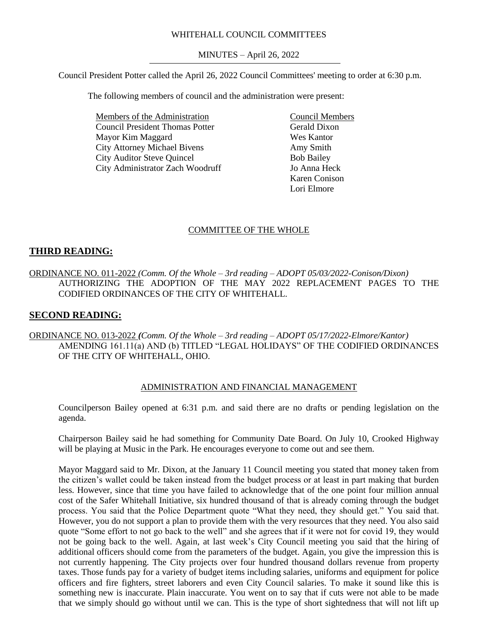## WHITEHALL COUNCIL COMMITTEES

MINUTES – April 26, 2022

Council President Potter called the April 26, 2022 Council Committees' meeting to order at 6:30 p.m.

The following members of council and the administration were present:

Members of the Administration Council President Thomas Potter Mayor Kim Maggard City Attorney Michael Bivens City Auditor Steve Quincel City Administrator Zach Woodruff

Council Members Gerald Dixon Wes Kantor Amy Smith Bob Bailey Jo Anna Heck Karen Conison Lori Elmore

## COMMITTEE OF THE WHOLE

#### **THIRD READING:**

ORDINANCE NO. 011-2022 *(Comm. Of the Whole – 3rd reading – ADOPT 05/03/2022-Conison/Dixon)* AUTHORIZING THE ADOPTION OF THE MAY 2022 REPLACEMENT PAGES TO THE CODIFIED ORDINANCES OF THE CITY OF WHITEHALL.

## **SECOND READING:**

ORDINANCE NO. 013-2022 *(Comm. Of the Whole – 3rd reading – ADOPT 05/17/2022-Elmore/Kantor)* AMENDING 161.11(a) AND (b) TITLED "LEGAL HOLIDAYS" OF THE CODIFIED ORDINANCES OF THE CITY OF WHITEHALL, OHIO.

#### ADMINISTRATION AND FINANCIAL MANAGEMENT

Councilperson Bailey opened at 6:31 p.m. and said there are no drafts or pending legislation on the agenda.

Chairperson Bailey said he had something for Community Date Board. On July 10, Crooked Highway will be playing at Music in the Park. He encourages everyone to come out and see them.

Mayor Maggard said to Mr. Dixon, at the January 11 Council meeting you stated that money taken from the citizen's wallet could be taken instead from the budget process or at least in part making that burden less. However, since that time you have failed to acknowledge that of the one point four million annual cost of the Safer Whitehall Initiative, six hundred thousand of that is already coming through the budget process. You said that the Police Department quote "What they need, they should get." You said that. However, you do not support a plan to provide them with the very resources that they need. You also said quote "Some effort to not go back to the well" and she agrees that if it were not for covid 19, they would not be going back to the well. Again, at last week's City Council meeting you said that the hiring of additional officers should come from the parameters of the budget. Again, you give the impression this is not currently happening. The City projects over four hundred thousand dollars revenue from property taxes. Those funds pay for a variety of budget items including salaries, uniforms and equipment for police officers and fire fighters, street laborers and even City Council salaries. To make it sound like this is something new is inaccurate. Plain inaccurate. You went on to say that if cuts were not able to be made that we simply should go without until we can. This is the type of short sightedness that will not lift up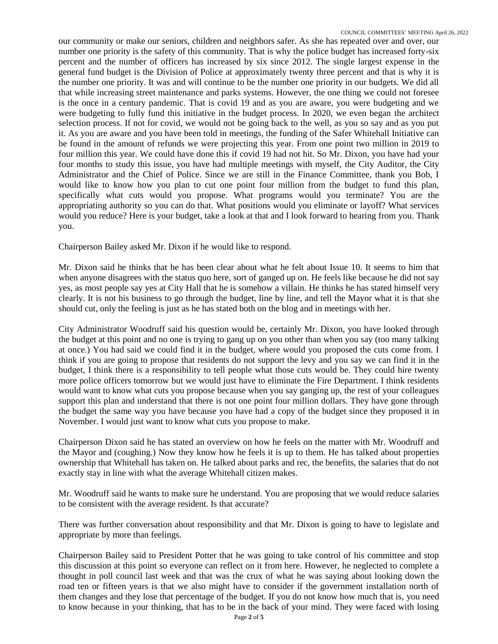our community or make our seniors, children and neighbors safer. As she has repeated over and over, our number one priority is the safety of this community. That is why the police budget has increased forty-six percent and the number of officers has increased by six since 2012. The single largest expense in the general fund budget is the Division of Police at approximately twenty three percent and that is why it is the number one priority. It was and will continue to be the number one priority in our budgets. We did all that while increasing street maintenance and parks systems. However, the one thing we could not foresee is the once in a century pandemic. That is covid 19 and as you are aware, you were budgeting and we were budgeting to fully fund this initiative in the budget process. In 2020, we even began the architect selection process. If not for covid, we would not be going back to the well, as you so say and as you put it. As you are aware and you have been told in meetings, the funding of the Safer Whitehall Initiative can be found in the amount of refunds we were projecting this year. From one point two million in 2019 to four million this year. We could have done this if covid 19 had not hit. So Mr. Dixon, you have had your four months to study this issue, you have had multiple meetings with myself, the City Auditor, the City Administrator and the Chief of Police. Since we are still in the Finance Committee, thank you Bob, I would like to know how you plan to cut one point four million from the budget to fund this plan, specifically what cuts would you propose. What programs would you terminate? You are the appropriating authority so you can do that. What positions would you eliminate or layoff? What services would you reduce? Here is your budget, take a look at that and I look forward to hearing from you. Thank you.

Chairperson Bailey asked Mr. Dixon if he would like to respond.

Mr. Dixon said he thinks that he has been clear about what he felt about Issue 10. It seems to him that when anyone disagrees with the status quo here, sort of ganged up on. He feels like because he did not say yes, as most people say yes at City Hall that he is somehow a villain. He thinks he has stated himself very clearly. It is not his business to go through the budget, line by line, and tell the Mayor what it is that she should cut, only the feeling is just as he has stated both on the blog and in meetings with her.

City Administrator Woodruff said his question would be, certainly Mr. Dixon, you have looked through the budget at this point and no one is trying to gang up on you other than when you say (too many talking at once.) You had said we could find it in the budget, where would you proposed the cuts come from. I think if you are going to propose that residents do not support the levy and you say we can find it in the budget, I think there is a responsibility to tell people what those cuts would be. They could hire twenty more police officers tomorrow but we would just have to eliminate the Fire Department. I think residents would want to know what cuts you propose because when you say ganging up, the rest of your colleagues support this plan and understand that there is not one point four million dollars. They have gone through the budget the same way you have because you have had a copy of the budget since they proposed it in November. I would just want to know what cuts you propose to make.

Chairperson Dixon said he has stated an overview on how he feels on the matter with Mr. Woodruff and the Mayor and (coughing.) Now they know how he feels it is up to them. He has talked about properties ownership that Whitehall has taken on. He talked about parks and rec, the benefits, the salaries that do not exactly stay in line with what the average Whitehall citizen makes.

Mr. Woodruff said he wants to make sure he understand. You are proposing that we would reduce salaries to be consistent with the average resident. Is that accurate?

There was further conversation about responsibility and that Mr. Dixon is going to have to legislate and appropriate by more than feelings.

Chairperson Bailey said to President Potter that he was going to take control of his committee and stop this discussion at this point so everyone can reflect on it from here. However, he neglected to complete a thought in poll council last week and that was the crux of what he was saying about looking down the road ten or fifteen years is that we also might have to consider if the government installation north of them changes and they lose that percentage of the budget. If you do not know how much that is, you need to know because in your thinking, that has to be in the back of your mind. They were faced with losing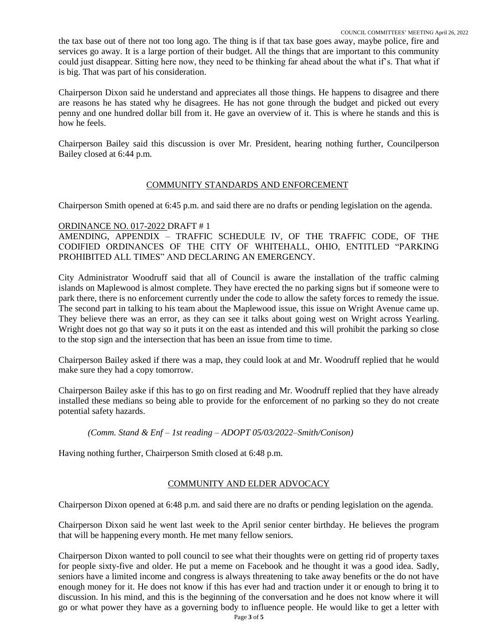the tax base out of there not too long ago. The thing is if that tax base goes away, maybe police, fire and services go away. It is a large portion of their budget. All the things that are important to this community could just disappear. Sitting here now, they need to be thinking far ahead about the what if's. That what if is big. That was part of his consideration.

Chairperson Dixon said he understand and appreciates all those things. He happens to disagree and there are reasons he has stated why he disagrees. He has not gone through the budget and picked out every penny and one hundred dollar bill from it. He gave an overview of it. This is where he stands and this is how he feels.

Chairperson Bailey said this discussion is over Mr. President, hearing nothing further, Councilperson Bailey closed at 6:44 p.m.

# COMMUNITY STANDARDS AND ENFORCEMENT

Chairperson Smith opened at 6:45 p.m. and said there are no drafts or pending legislation on the agenda.

## ORDINANCE NO. 017-2022 DRAFT # 1

AMENDING, APPENDIX – TRAFFIC SCHEDULE IV, OF THE TRAFFIC CODE, OF THE CODIFIED ORDINANCES OF THE CITY OF WHITEHALL, OHIO, ENTITLED "PARKING PROHIBITED ALL TIMES" AND DECLARING AN EMERGENCY.

City Administrator Woodruff said that all of Council is aware the installation of the traffic calming islands on Maplewood is almost complete. They have erected the no parking signs but if someone were to park there, there is no enforcement currently under the code to allow the safety forces to remedy the issue. The second part in talking to his team about the Maplewood issue, this issue on Wright Avenue came up. They believe there was an error, as they can see it talks about going west on Wright across Yearling. Wright does not go that way so it puts it on the east as intended and this will prohibit the parking so close to the stop sign and the intersection that has been an issue from time to time.

Chairperson Bailey asked if there was a map, they could look at and Mr. Woodruff replied that he would make sure they had a copy tomorrow.

Chairperson Bailey aske if this has to go on first reading and Mr. Woodruff replied that they have already installed these medians so being able to provide for the enforcement of no parking so they do not create potential safety hazards.

*(Comm. Stand & Enf – 1st reading – ADOPT 05/03/2022–Smith/Conison)*

Having nothing further, Chairperson Smith closed at 6:48 p.m.

## COMMUNITY AND ELDER ADVOCACY

Chairperson Dixon opened at 6:48 p.m. and said there are no drafts or pending legislation on the agenda.

Chairperson Dixon said he went last week to the April senior center birthday. He believes the program that will be happening every month. He met many fellow seniors.

Page **3** of **5** Chairperson Dixon wanted to poll council to see what their thoughts were on getting rid of property taxes for people sixty-five and older. He put a meme on Facebook and he thought it was a good idea. Sadly, seniors have a limited income and congress is always threatening to take away benefits or the do not have enough money for it. He does not know if this has ever had and traction under it or enough to bring it to discussion. In his mind, and this is the beginning of the conversation and he does not know where it will go or what power they have as a governing body to influence people. He would like to get a letter with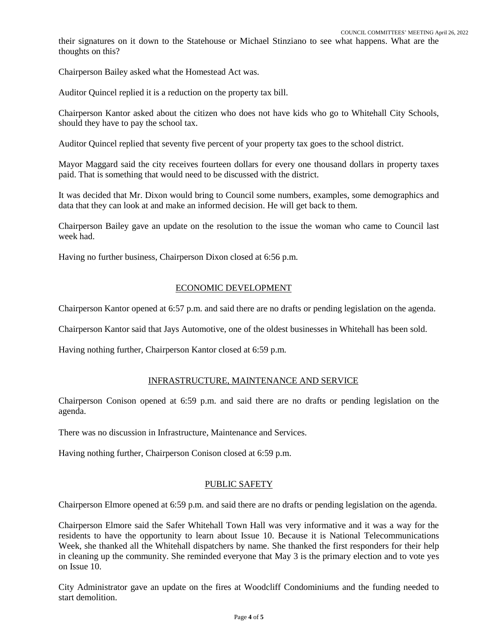their signatures on it down to the Statehouse or Michael Stinziano to see what happens. What are the thoughts on this?

Chairperson Bailey asked what the Homestead Act was.

Auditor Quincel replied it is a reduction on the property tax bill.

Chairperson Kantor asked about the citizen who does not have kids who go to Whitehall City Schools, should they have to pay the school tax.

Auditor Quincel replied that seventy five percent of your property tax goes to the school district.

Mayor Maggard said the city receives fourteen dollars for every one thousand dollars in property taxes paid. That is something that would need to be discussed with the district.

It was decided that Mr. Dixon would bring to Council some numbers, examples, some demographics and data that they can look at and make an informed decision. He will get back to them.

Chairperson Bailey gave an update on the resolution to the issue the woman who came to Council last week had.

Having no further business, Chairperson Dixon closed at 6:56 p.m.

#### ECONOMIC DEVELOPMENT

Chairperson Kantor opened at 6:57 p.m. and said there are no drafts or pending legislation on the agenda.

Chairperson Kantor said that Jays Automotive, one of the oldest businesses in Whitehall has been sold.

Having nothing further, Chairperson Kantor closed at 6:59 p.m.

#### INFRASTRUCTURE, MAINTENANCE AND SERVICE

Chairperson Conison opened at 6:59 p.m. and said there are no drafts or pending legislation on the agenda.

There was no discussion in Infrastructure, Maintenance and Services.

Having nothing further, Chairperson Conison closed at 6:59 p.m.

#### PUBLIC SAFETY

Chairperson Elmore opened at 6:59 p.m. and said there are no drafts or pending legislation on the agenda.

Chairperson Elmore said the Safer Whitehall Town Hall was very informative and it was a way for the residents to have the opportunity to learn about Issue 10. Because it is National Telecommunications Week, she thanked all the Whitehall dispatchers by name. She thanked the first responders for their help in cleaning up the community. She reminded everyone that May 3 is the primary election and to vote yes on Issue 10.

City Administrator gave an update on the fires at Woodcliff Condominiums and the funding needed to start demolition.